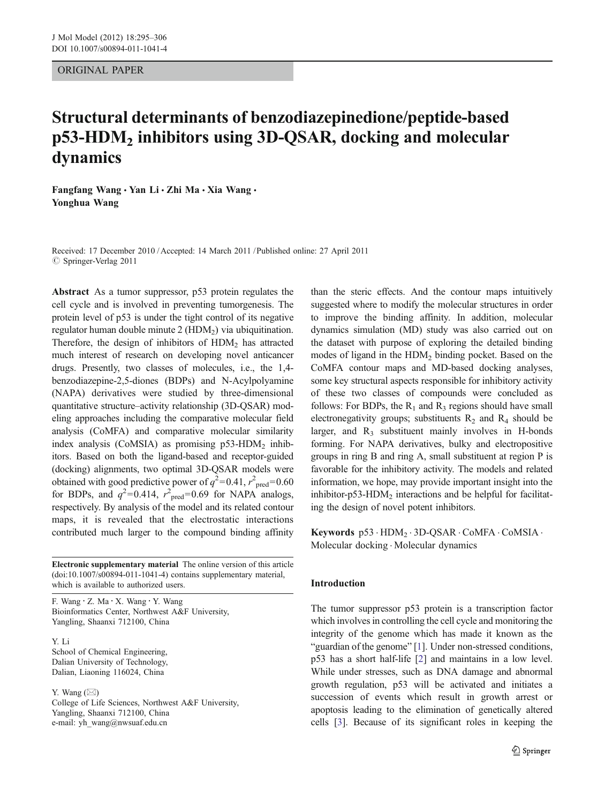ORIGINAL PAPER

# Structural determinants of benzodiazepinedione/peptide-based p53-HDM2 inhibitors using 3D-QSAR, docking and molecular dynamics

Fangfang Wang · Yan Li · Zhi Ma · Xia Wang · Yonghua Wang

Received: 17 December 2010 / Accepted: 14 March 2011 / Published online: 27 April 2011  $\oslash$  Springer-Verlag 2011

Abstract As a tumor suppressor, p53 protein regulates the cell cycle and is involved in preventing tumorgenesis. The protein level of p53 is under the tight control of its negative regulator human double minute  $2 (HDM<sub>2</sub>)$  via ubiquitination. Therefore, the design of inhibitors of HDM<sub>2</sub> has attracted much interest of research on developing novel anticancer drugs. Presently, two classes of molecules, i.e., the 1,4 benzodiazepine-2,5-diones (BDPs) and N-Acylpolyamine (NAPA) derivatives were studied by three-dimensional quantitative structure–activity relationship (3D-QSAR) modeling approaches including the comparative molecular field analysis (CoMFA) and comparative molecular similarity index analysis (CoMSIA) as promising  $p53-HDM<sub>2</sub>$  inhibitors. Based on both the ligand-based and receptor-guided (docking) alignments, two optimal 3D-QSAR models were obtained with good predictive power of  $q^2$ =0.41,  $r^2$ <sub>pred</sub>=0.60 for BDPs, and  $q^2$ =0.414,  $r^2$ <sub>pred</sub>=0.69 for NAPA analogs, respectively. By analysis of the model and its related contour maps, it is revealed that the electrostatic interactions contributed much larger to the compound binding affinity

Electronic supplementary material The online version of this article (doi:[10.1007/s00894-011-1041-4\)](http://dx.doi.org/10.1007/s00894-011-1041-4) contains supplementary material, which is available to authorized users.

F. Wang : Z. Ma : X. Wang : Y. Wang Bioinformatics Center, Northwest A&F University, Yangling, Shaanxi 712100, China

Y. Li School of Chemical Engineering, Dalian University of Technology, Dalian, Liaoning 116024, China

Y. Wang  $(\boxtimes)$ College of Life Sciences, Northwest A&F University, Yangling, Shaanxi 712100, China e-mail: yh\_wang@nwsuaf.edu.cn

than the steric effects. And the contour maps intuitively suggested where to modify the molecular structures in order to improve the binding affinity. In addition, molecular dynamics simulation (MD) study was also carried out on the dataset with purpose of exploring the detailed binding modes of ligand in the HDM<sub>2</sub> binding pocket. Based on the CoMFA contour maps and MD-based docking analyses, some key structural aspects responsible for inhibitory activity of these two classes of compounds were concluded as follows: For BDPs, the  $R_1$  and  $R_3$  regions should have small electronegativity groups; substituents  $R_2$  and  $R_4$  should be larger, and  $R_3$  substituent mainly involves in H-bonds forming. For NAPA derivatives, bulky and electropositive groups in ring B and ring A, small substituent at region P is favorable for the inhibitory activity. The models and related information, we hope, may provide important insight into the inhibitor-p53-HDM<sub>2</sub> interactions and be helpful for facilitating the design of novel potent inhibitors.

Keywords p53 . HDM<sub>2</sub> . 3D-QSAR . CoMFA . CoMSIA . Molecular docking . Molecular dynamics

## Introduction

The tumor suppressor p53 protein is a transcription factor which involves in controlling the cell cycle and monitoring the integrity of the genome which has made it known as the "guardian of the genome" [[1](#page-11-0)]. Under non-stressed conditions, p53 has a short half-life [\[2\]](#page-11-0) and maintains in a low level. While under stresses, such as DNA damage and abnormal growth regulation, p53 will be activated and initiates a succession of events which result in growth arrest or apoptosis leading to the elimination of genetically altered cells [\[3](#page-11-0)]. Because of its significant roles in keeping the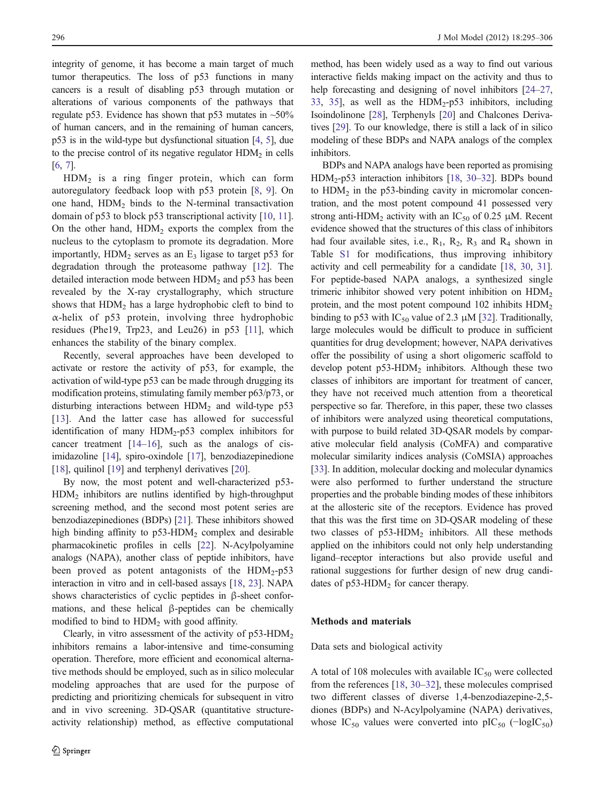integrity of genome, it has become a main target of much tumor therapeutics. The loss of p53 functions in many cancers is a result of disabling p53 through mutation or alterations of various components of the pathways that regulate p53. Evidence has shown that p53 mutates in  $~50\%$ of human cancers, and in the remaining of human cancers, p53 is in the wild-type but dysfunctional situation [\[4](#page-11-0), [5\]](#page-11-0), due to the precise control of its negative regulator  $HDM<sub>2</sub>$  in cells [\[6,](#page-11-0) [7](#page-11-0)].

 $HDM<sub>2</sub>$  is a ring finger protein, which can form autoregulatory feedback loop with p53 protein [[8,](#page-11-0) [9](#page-11-0)]. On one hand, HDM<sub>2</sub> binds to the N-terminal transactivation domain of p53 to block p53 transcriptional activity [[10,](#page-11-0) [11](#page-11-0)]. On the other hand,  $HDM<sub>2</sub>$  exports the complex from the nucleus to the cytoplasm to promote its degradation. More importantly,  $HDM<sub>2</sub>$  serves as an  $E<sub>3</sub>$  ligase to target p53 for degradation through the proteasome pathway [\[12](#page-11-0)]. The detailed interaction mode between  $HDM<sub>2</sub>$  and p53 has been revealed by the X-ray crystallography, which structure shows that  $HDM<sub>2</sub>$  has a large hydrophobic cleft to bind to α-helix of p53 protein, involving three hydrophobic residues (Phe19, Trp23, and Leu26) in p53 [\[11](#page-11-0)], which enhances the stability of the binary complex.

Recently, several approaches have been developed to activate or restore the activity of p53, for example, the activation of wild-type p53 can be made through drugging its modification proteins, stimulating family member p63/p73, or disturbing interactions between  $HDM<sub>2</sub>$  and wild-type p53 [\[13\]](#page-11-0). And the latter case has allowed for successful identification of many HDM2-p53 complex inhibitors for cancer treatment  $[14–16]$  $[14–16]$  $[14–16]$  $[14–16]$  $[14–16]$ , such as the analogs of cisimidazoline [\[14\]](#page-11-0), spiro-oxindole [[17](#page-11-0)], benzodiazepinedione [\[18\]](#page-11-0), quilinol [\[19\]](#page-11-0) and terphenyl derivatives [\[20\]](#page-11-0).

By now, the most potent and well-characterized p53- HDM2 inhibitors are nutlins identified by high-throughput screening method, and the second most potent series are benzodiazepinediones (BDPs) [[21\]](#page-11-0). These inhibitors showed high binding affinity to  $p53-HDM<sub>2</sub>$  complex and desirable pharmacokinetic profiles in cells [[22](#page-11-0)]. N-Acylpolyamine analogs (NAPA), another class of peptide inhibitors, have been proved as potent antagonists of the  $HDM<sub>2</sub>-p53$ interaction in vitro and in cell-based assays [\[18,](#page-11-0) [23](#page-11-0)]. NAPA shows characteristics of cyclic peptides in β-sheet conformations, and these helical β-peptides can be chemically modified to bind to HDM<sub>2</sub> with good affinity.

Clearly, in vitro assessment of the activity of  $p53-HDM<sub>2</sub>$ inhibitors remains a labor-intensive and time-consuming operation. Therefore, more efficient and economical alternative methods should be employed, such as in silico molecular modeling approaches that are used for the purpose of predicting and prioritizing chemicals for subsequent in vitro and in vivo screening. 3D-QSAR (quantitative structureactivity relationship) method, as effective computational method, has been widely used as a way to find out various interactive fields making impact on the activity and thus to help forecasting and designing of novel inhibitors [\[24](#page-11-0)–[27,](#page-11-0) [33,](#page-11-0) [35\]](#page-11-0), as well as the HDM2-p53 inhibitors, including Isoindolinone [\[28](#page-11-0)], Terphenyls [[20](#page-11-0)] and Chalcones Derivatives [\[29](#page-11-0)]. To our knowledge, there is still a lack of in silico modeling of these BDPs and NAPA analogs of the complex inhibitors.

BDPs and NAPA analogs have been reported as promising HDM2-p53 interaction inhibitors [\[18,](#page-11-0) [30](#page-11-0)–[32\]](#page-11-0). BDPs bound to  $HDM<sub>2</sub>$  in the p53-binding cavity in micromolar concentration, and the most potent compound 41 possessed very strong anti-HDM<sub>2</sub> activity with an IC<sub>50</sub> of 0.25  $\mu$ M. Recent evidence showed that the structures of this class of inhibitors had four available sites, i.e.,  $R_1$ ,  $R_2$ ,  $R_3$  and  $R_4$  shown in Table S1 for modifications, thus improving inhibitory activity and cell permeability for a candidate [\[18,](#page-11-0) [30](#page-11-0), [31\]](#page-11-0). For peptide-based NAPA analogs, a synthesized single trimeric inhibitor showed very potent inhibition on  $HDM<sub>2</sub>$ protein, and the most potent compound  $102$  inhibits  $HDM<sub>2</sub>$ binding to p53 with IC<sub>50</sub> value of 2.3  $\mu$ M [[32](#page-11-0)]. Traditionally, large molecules would be difficult to produce in sufficient quantities for drug development; however, NAPA derivatives offer the possibility of using a short oligomeric scaffold to develop potent  $p53-HDM<sub>2</sub>$  inhibitors. Although these two classes of inhibitors are important for treatment of cancer, they have not received much attention from a theoretical perspective so far. Therefore, in this paper, these two classes of inhibitors were analyzed using theoretical computations, with purpose to build related 3D-QSAR models by comparative molecular field analysis (CoMFA) and comparative molecular similarity indices analysis (CoMSIA) approaches [\[33](#page-11-0)]. In addition, molecular docking and molecular dynamics were also performed to further understand the structure properties and the probable binding modes of these inhibitors at the allosteric site of the receptors. Evidence has proved that this was the first time on 3D-QSAR modeling of these two classes of  $p53-HDM<sub>2</sub>$  inhibitors. All these methods applied on the inhibitors could not only help understanding ligand–receptor interactions but also provide useful and rational suggestions for further design of new drug candidates of  $p53$ -HDM<sub>2</sub> for cancer therapy.

#### Methods and materials

### Data sets and biological activity

A total of 108 molecules with available  $IC_{50}$  were collected from the references [[18,](#page-11-0) [30](#page-11-0)–[32](#page-11-0)], these molecules comprised two different classes of diverse 1,4-benzodiazepine-2,5 diones (BDPs) and N-Acylpolyamine (NAPA) derivatives, whose IC<sub>50</sub> values were converted into pIC<sub>50</sub> ( $-\log$ IC<sub>50</sub>)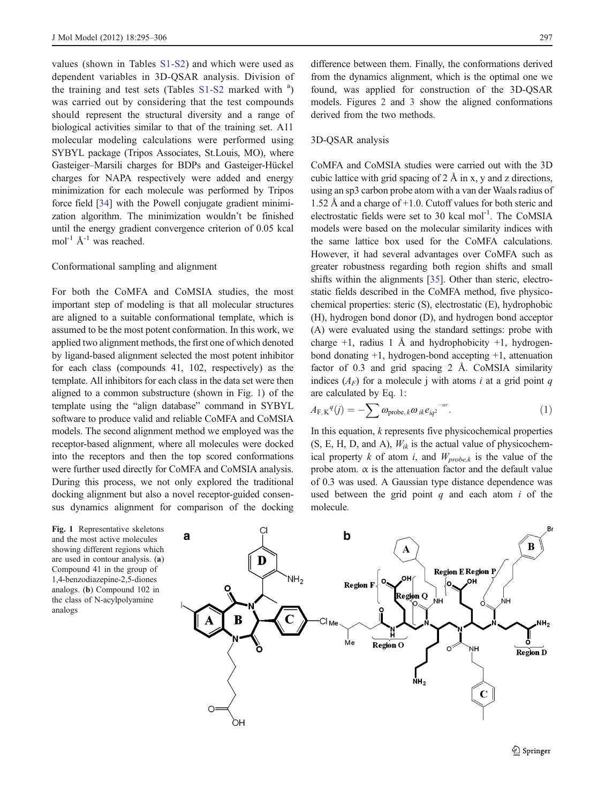values (shown in Tables S1-S2) and which were used as dependent variables in 3D-QSAR analysis. Division of the training and test sets (Tables S1-S2 marked with <sup>a</sup>) was carried out by considering that the test compounds should represent the structural diversity and a range of biological activities similar to that of the training set. A11 molecular modeling calculations were performed using SYBYL package (Tripos Associates, St.Louis, MO), where Gasteiger–Marsili charges for BDPs and Gasteiger-Hückel charges for NAPA respectively were added and energy minimization for each molecule was performed by Tripos force field [[34](#page-11-0)] with the Powell conjugate gradient minimization algorithm. The minimization wouldn't be finished until the energy gradient convergence criterion of 0.05 kcal mol<sup>-1</sup>  $\AA$ <sup>-1</sup> was reached.

## Conformational sampling and alignment

For both the CoMFA and CoMSIA studies, the most important step of modeling is that all molecular structures are aligned to a suitable conformational template, which is assumed to be the most potent conformation. In this work, we applied two alignment methods, the first one of which denoted by ligand-based alignment selected the most potent inhibitor for each class (compounds 41, 102, respectively) as the template. All inhibitors for each class in the data set were then aligned to a common substructure (shown in Fig. 1) of the template using the "align database" command in SYBYL software to produce valid and reliable CoMFA and CoMSIA models. The second alignment method we employed was the receptor-based alignment, where all molecules were docked into the receptors and then the top scored conformations were further used directly for CoMFA and CoMSIA analysis. During this process, we not only explored the traditional docking alignment but also a novel receptor-guided consensus dynamics alignment for comparison of the docking

Fig. 1 Representative skeletons and the most active molecules showing different regions which are used in contour analysis. (a) Compound 41 in the group of 1,4-benzodiazepine-2,5-diones analogs. (b) Compound 102 in the class of N-acylpolyamine analogs

difference between them. Finally, the conformations derived from the dynamics alignment, which is the optimal one we found, was applied for construction of the 3D-QSAR models. Figures [2](#page-3-0) and [3](#page-3-0) show the aligned conformations derived from the two methods.

## 3D-QSAR analysis

CoMFA and CoMSIA studies were carried out with the 3D cubic lattice with grid spacing of 2 Å in x, y and z directions, using an sp3 carbon probe atom with a van der Waals radius of 1.52 Å and a charge of +1.0. Cutoff values for both steric and electrostatic fields were set to 30 kcal mol<sup>-1</sup>. The CoMSIA models were based on the molecular similarity indices with the same lattice box used for the CoMFA calculations. However, it had several advantages over CoMFA such as greater robustness regarding both region shifts and small shifts within the alignments [\[35](#page-11-0)]. Other than steric, electrostatic fields described in the CoMFA method, five physicochemical properties: steric (S), electrostatic (E), hydrophobic (H), hydrogen bond donor (D), and hydrogen bond acceptor (A) were evaluated using the standard settings: probe with charge  $+1$ , radius 1 Å and hydrophobicity  $+1$ , hydrogenbond donating +1, hydrogen-bond accepting +1, attenuation factor of 0.3 and grid spacing 2 Å. CoMSIA similarity indices  $(A_F)$  for a molecule j with atoms *i* at a grid point *q* are calculated by Eq. 1:

$$
A_{\mathrm{F},\mathrm{K}}{}^{q}(j)=-\sum\omega_{\mathrm{probe},k}\omega_{ik}e_{iq^{2}}^{^{-ar}}.
$$
\n(1)

In this equation,  $k$  represents five physicochemical properties  $(S, E, H, D, and A)$ ,  $W_{ik}$  is the actual value of physicochemical property k of atom i, and  $W_{probe,k}$  is the value of the probe atom.  $\alpha$  is the attenuation factor and the default value of 0.3 was used. A Gaussian type distance dependence was used between the grid point  $q$  and each atom  $i$  of the molecule.



2 Springer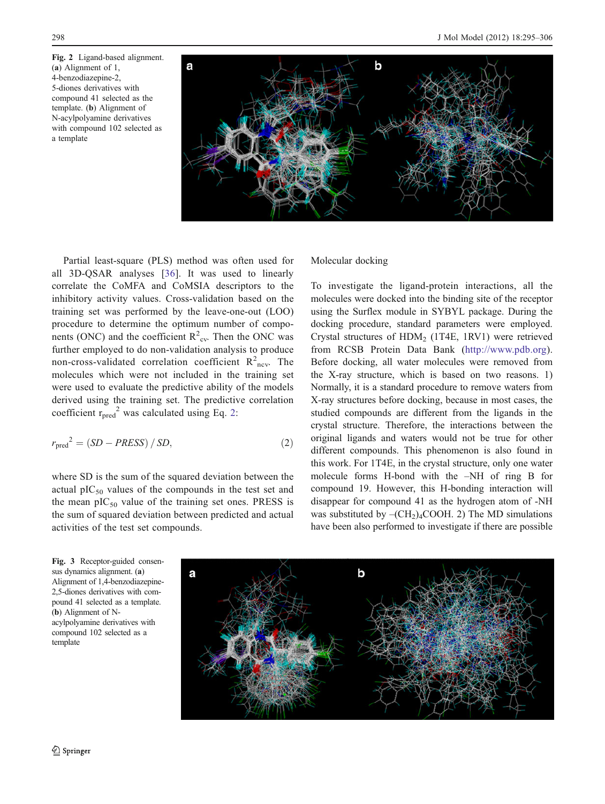<span id="page-3-0"></span>Fig. 2 Ligand-based alignment. (a) Alignment of 1, 4-benzodiazepine-2, 5-diones derivatives with compound 41 selected as the template. (b) Alignment of N-acylpolyamine derivatives with compound 102 selected as a template



Partial least-square (PLS) method was often used for all 3D-QSAR analyses [\[36\]](#page-11-0). It was used to linearly correlate the CoMFA and CoMSIA descriptors to the inhibitory activity values. Cross-validation based on the training set was performed by the leave-one-out (LOO) procedure to determine the optimum number of components (ONC) and the coefficient  $R^2_{\text{cv}}$ . Then the ONC was further employed to do non-validation analysis to produce non-cross-validated correlation coefficient  $R^2_{\text{ncv}}$ . The molecules which were not included in the training set were used to evaluate the predictive ability of the models derived using the training set. The predictive correlation coefficient  $r_{pred}^2$  was calculated using Eq. 2:

$$
r_{\text{pred}}^2 = (SD - PRESS) / SD,
$$
 (2)

where SD is the sum of the squared deviation between the actual  $pIC_{50}$  values of the compounds in the test set and the mean  $pIC_{50}$  value of the training set ones. PRESS is the sum of squared deviation between predicted and actual activities of the test set compounds.

Molecular docking

To investigate the ligand-protein interactions, all the molecules were docked into the binding site of the receptor using the Surflex module in SYBYL package. During the docking procedure, standard parameters were employed. Crystal structures of HDM2 (1T4E, 1RV1) were retrieved from RCSB Protein Data Bank (<http://www.pdb.org>). Before docking, all water molecules were removed from the X-ray structure, which is based on two reasons. 1) Normally, it is a standard procedure to remove waters from X-ray structures before docking, because in most cases, the studied compounds are different from the ligands in the crystal structure. Therefore, the interactions between the original ligands and waters would not be true for other different compounds. This phenomenon is also found in this work. For 1T4E, in the crystal structure, only one water molecule forms H-bond with the –NH of ring B for compound 19. However, this H-bonding interaction will disappear for compound 41 as the hydrogen atom of -NH was substituted by  $-(CH<sub>2</sub>)<sub>4</sub>COOH$ . 2) The MD simulations have been also performed to investigate if there are possible

Fig. 3 Receptor-guided consensus dynamics alignment. (a) Alignment of 1,4-benzodiazepine-2,5-diones derivatives with compound 41 selected as a template. (b) Alignment of Nacylpolyamine derivatives with compound 102 selected as a template

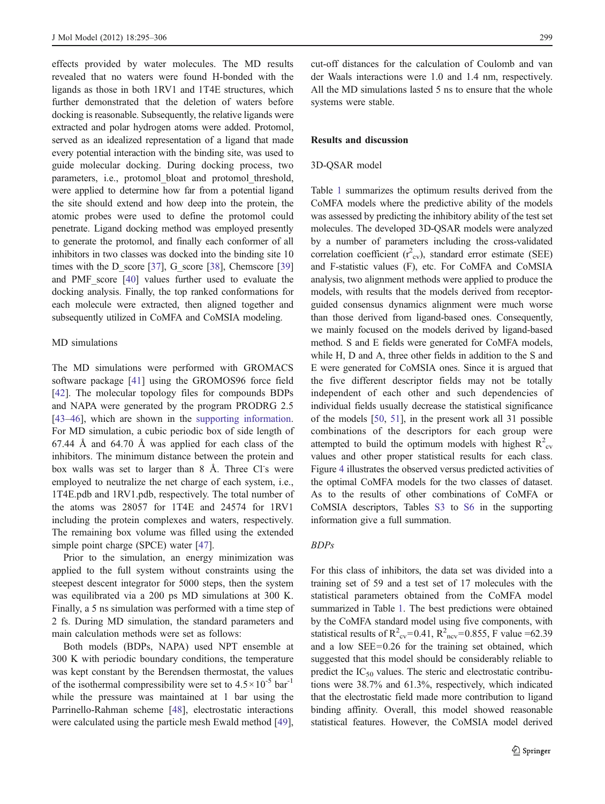effects provided by water molecules. The MD results revealed that no waters were found H-bonded with the ligands as those in both 1RV1 and 1T4E structures, which further demonstrated that the deletion of waters before docking is reasonable. Subsequently, the relative ligands were extracted and polar hydrogen atoms were added. Protomol, served as an idealized representation of a ligand that made every potential interaction with the binding site, was used to guide molecular docking. During docking process, two parameters, i.e., protomol bloat and protomol threshold, were applied to determine how far from a potential ligand the site should extend and how deep into the protein, the atomic probes were used to define the protomol could penetrate. Ligand docking method was employed presently to generate the protomol, and finally each conformer of all inhibitors in two classes was docked into the binding site 10 times with the D\_score [[37](#page-11-0)], G\_score [[38](#page-11-0)], Chemscore [\[39\]](#page-11-0) and PMF score [[40\]](#page-11-0) values further used to evaluate the docking analysis. Finally, the top ranked conformations for each molecule were extracted, then aligned together and subsequently utilized in CoMFA and CoMSIA modeling.

### MD simulations

The MD simulations were performed with GROMACS software package [\[41](#page-11-0)] using the GROMOS96 force field [\[42](#page-11-0)]. The molecular topology files for compounds BDPs and NAPA were generated by the program PRODRG 2.5 [\[43](#page-11-0)–[46](#page-11-0)], which are shown in the supporting information. For MD simulation, a cubic periodic box of side length of 67.44 Å and 64.70 Å was applied for each class of the inhibitors. The minimum distance between the protein and box walls was set to larger than 8 Å. Three Cl<sup>-</sup>s were employed to neutralize the net charge of each system, i.e., 1T4E.pdb and 1RV1.pdb, respectively. The total number of the atoms was 28057 for 1T4E and 24574 for 1RV1 including the protein complexes and waters, respectively. The remaining box volume was filled using the extended simple point charge (SPCE) water [[47\]](#page-11-0).

Prior to the simulation, an energy minimization was applied to the full system without constraints using the steepest descent integrator for 5000 steps, then the system was equilibrated via a 200 ps MD simulations at 300 K. Finally, a 5 ns simulation was performed with a time step of 2 fs. During MD simulation, the standard parameters and main calculation methods were set as follows:

Both models (BDPs, NAPA) used NPT ensemble at 300 K with periodic boundary conditions, the temperature was kept constant by the Berendsen thermostat, the values of the isothermal compressibility were set to  $4.5 \times 10^{-5}$  bar<sup>-1</sup> while the pressure was maintained at 1 bar using the Parrinello-Rahman scheme [[48](#page-11-0)], electrostatic interactions were calculated using the particle mesh Ewald method [\[49](#page-11-0)], cut-off distances for the calculation of Coulomb and van der Waals interactions were 1.0 and 1.4 nm, respectively. All the MD simulations lasted 5 ns to ensure that the whole systems were stable.

## Results and discussion

#### 3D-QSAR model

Table [1](#page-5-0) summarizes the optimum results derived from the CoMFA models where the predictive ability of the models was assessed by predicting the inhibitory ability of the test set molecules. The developed 3D-QSAR models were analyzed by a number of parameters including the cross-validated correlation coefficient  $(r^2_{\text{cv}})$ , standard error estimate (SEE) and F-statistic values (F), etc. For CoMFA and CoMSIA analysis, two alignment methods were applied to produce the models, with results that the models derived from receptorguided consensus dynamics alignment were much worse than those derived from ligand-based ones. Consequently, we mainly focused on the models derived by ligand-based method. S and E fields were generated for CoMFA models, while H, D and A, three other fields in addition to the S and E were generated for CoMSIA ones. Since it is argued that the five different descriptor fields may not be totally independent of each other and such dependencies of individual fields usually decrease the statistical significance of the models [\[50](#page-11-0), [51](#page-11-0)], in the present work all 31 possible combinations of the descriptors for each group were attempted to build the optimum models with highest  $R_{cv}^2$ values and other proper statistical results for each class. Figure [4](#page-5-0) illustrates the observed versus predicted activities of the optimal CoMFA models for the two classes of dataset. As to the results of other combinations of CoMFA or CoMSIA descriptors, Tables S3 to S6 in the supporting information give a full summation.

#### BDPs

For this class of inhibitors, the data set was divided into a training set of 59 and a test set of 17 molecules with the statistical parameters obtained from the CoMFA model summarized in Table [1.](#page-5-0) The best predictions were obtained by the CoMFA standard model using five components, with statistical results of  $R^2_{\text{cv}}$ =0.41,  $R^2_{\text{ncv}}$ =0.855, F value =62.39 and a low SEE=0.26 for the training set obtained, which suggested that this model should be considerably reliable to predict the  $IC_{50}$  values. The steric and electrostatic contributions were 38.7% and 61.3%, respectively, which indicated that the electrostatic field made more contribution to ligand binding affinity. Overall, this model showed reasonable statistical features. However, the CoMSIA model derived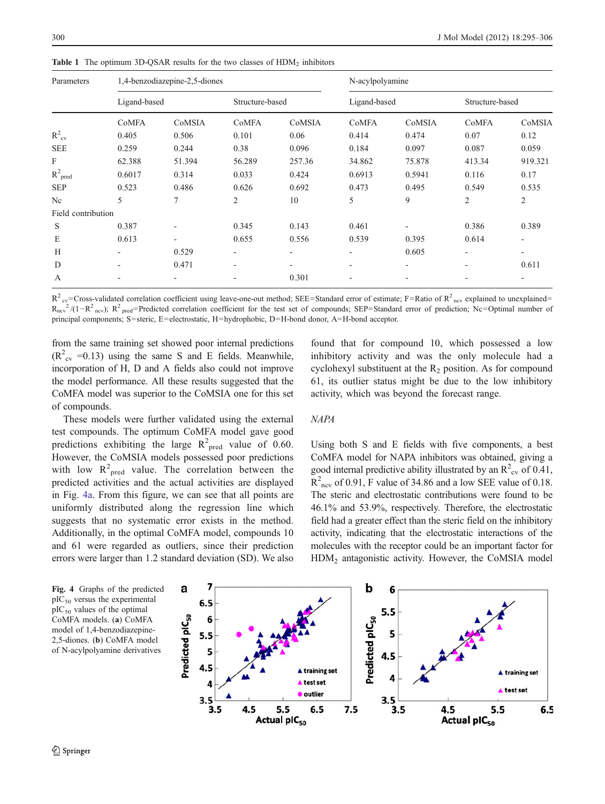| Parameters         | 1,4-benzodiazepine-2,5-diones |                |                          |        | N-acylpolyamine          |        |                 |                |
|--------------------|-------------------------------|----------------|--------------------------|--------|--------------------------|--------|-----------------|----------------|
|                    | Ligand-based                  |                | Structure-based          |        | Ligand-based             |        | Structure-based |                |
|                    | CoMFA                         | CoMSIA         | CoMFA                    | CoMSIA | CoMFA                    | CoMSIA | CoMFA           | CoMSIA         |
| $R_{\text{cv}}^2$  | 0.405                         | 0.506          | 0.101                    | 0.06   | 0.414                    | 0.474  | 0.07            | 0.12           |
| <b>SEE</b>         | 0.259                         | 0.244          | 0.38                     | 0.096  | 0.184                    | 0.097  | 0.087           | 0.059          |
| F                  | 62.388                        | 51.394         | 56.289                   | 257.36 | 34.862                   | 75.878 | 413.34          | 919.321        |
| $R^2_{pred}$       | 0.6017                        | 0.314          | 0.033                    | 0.424  | 0.6913                   | 0.5941 | 0.116           | 0.17           |
| <b>SEP</b>         | 0.523                         | 0.486          | 0.626                    | 0.692  | 0.473                    | 0.495  | 0.549           | 0.535          |
| Nc                 | 5                             | $\overline{7}$ | $\overline{2}$           | 10     | 5                        | 9      | 2               | $\overline{2}$ |
| Field contribution |                               |                |                          |        |                          |        |                 |                |
| S                  | 0.387                         |                | 0.345                    | 0.143  | 0.461                    |        | 0.386           | 0.389          |
| Е                  | 0.613                         |                | 0.655                    | 0.556  | 0.539                    | 0.395  | 0.614           | ٠              |
| H                  |                               | 0.529          | ۰                        |        | ۰.                       | 0.605  |                 | ٠              |
| D                  | ۰                             | 0.471          | $\overline{\phantom{a}}$ |        | $\overline{\phantom{a}}$ | ٠      |                 | 0.611          |
| А                  |                               |                |                          | 0.301  |                          |        |                 |                |

<span id="page-5-0"></span>Table 1 The optimum 3D-QSAR results for the two classes of  $HDM<sub>2</sub>$  inhibitors

 $R^2$ <sub>cv</sub>=Cross-validated correlation coefficient using leave-one-out method; SEE=Standard error of estimate; F=Ratio of  $R^2$ <sub>ncv</sub> explained to unexplained=  $R_{\text{ncv}}^2$  /(1-R<sup>2</sup> <sub>ncv</sub>); R<sup>2</sup> <sub>pred</sub>=Predicted correlation coefficient for the test set of compounds; SEP=Standard error of prediction; Nc=Optimal number of principal components; S=steric, E=electrostatic, H=hydrophobic, D=H-bond donor, A=H-bond acceptor.

from the same training set showed poor internal predictions  $(R<sup>2</sup><sub>cv</sub> = 0.13)$  using the same S and E fields. Meanwhile, incorporation of H, D and A fields also could not improve the model performance. All these results suggested that the CoMFA model was superior to the CoMSIA one for this set of compounds.

These models were further validated using the external test compounds. The optimum CoMFA model gave good predictions exhibiting the large  $R^2_{pred}$  value of 0.60. However, the CoMSIA models possessed poor predictions with low  $R^2_{\text{pred}}$  value. The correlation between the predicted activities and the actual activities are displayed in Fig. 4a. From this figure, we can see that all points are uniformly distributed along the regression line which suggests that no systematic error exists in the method. Additionally, in the optimal CoMFA model, compounds 10 and 61 were regarded as outliers, since their prediction errors were larger than 1.2 standard deviation (SD). We also

found that for compound 10, which possessed a low inhibitory activity and was the only molecule had a cyclohexyl substituent at the  $R_2$  position. As for compound 61, its outlier status might be due to the low inhibitory activity, which was beyond the forecast range.

### NAPA

Using both S and E fields with five components, a best CoMFA model for NAPA inhibitors was obtained, giving a good internal predictive ability illustrated by an  $R^2_{\text{cv}}$  of 0.41,  $R<sup>2</sup>_{\text{ncv}}$  of 0.91, F value of 34.86 and a low SEE value of 0.18. The steric and electrostatic contributions were found to be 46.1% and 53.9%, respectively. Therefore, the electrostatic field had a greater effect than the steric field on the inhibitory activity, indicating that the electrostatic interactions of the molecules with the receptor could be an important factor for HDM2 antagonistic activity. However, the CoMSIA model

Fig. 4 Graphs of the predicted pIC50 versus the experimental  $pIC_{50}$  values of the optimal CoMFA models. (a) CoMFA model of 1,4-benzodiazepine-2,5-diones. (b) CoMFA model of N-acylpolyamine derivatives

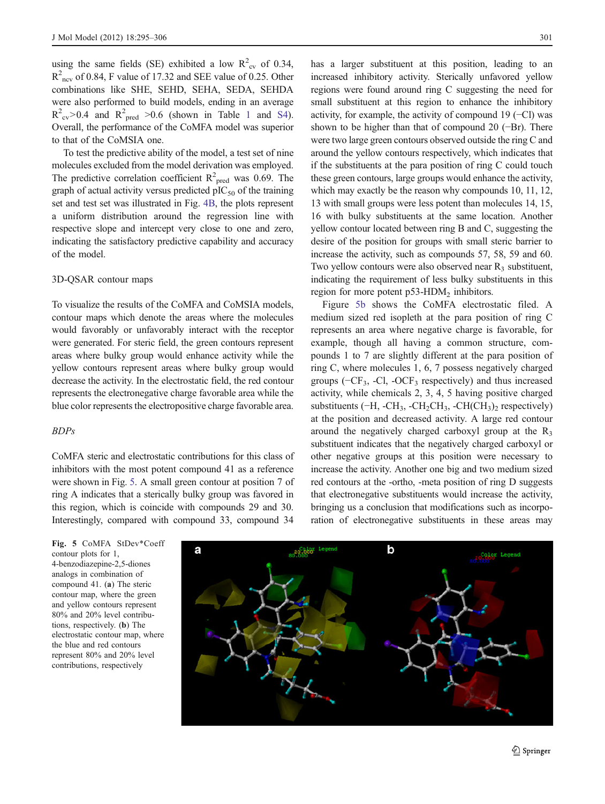<span id="page-6-0"></span>using the same fields (SE) exhibited a low  $R_{\text{cv}}^2$  of 0.34,  $R<sup>2</sup>_{\text{ncv}}$  of 0.84, F value of 17.32 and SEE value of 0.25. Other combinations like SHE, SEHD, SEHA, SEDA, SEHDA were also performed to build models, ending in an average  $R^2$ <sub>cv</sub>>0.4 and  $R^2$ <sub>pred</sub> >0.6 (shown in Table [1](#page-5-0) and S4). Overall, the performance of the CoMFA model was superior to that of the CoMSIA one.

To test the predictive ability of the model, a test set of nine molecules excluded from the model derivation was employed. The predictive correlation coefficient  $R^2_{pred}$  was 0.69. The graph of actual activity versus predicted  $pIC_{50}$  of the training set and test set was illustrated in Fig. [4B,](#page-5-0) the plots represent a uniform distribution around the regression line with respective slope and intercept very close to one and zero, indicating the satisfactory predictive capability and accuracy of the model.

## 3D-QSAR contour maps

To visualize the results of the CoMFA and CoMSIA models, contour maps which denote the areas where the molecules would favorably or unfavorably interact with the receptor were generated. For steric field, the green contours represent areas where bulky group would enhance activity while the yellow contours represent areas where bulky group would decrease the activity. In the electrostatic field, the red contour represents the electronegative charge favorable area while the blue color represents the electropositive charge favorable area.

### BDPs

CoMFA steric and electrostatic contributions for this class of inhibitors with the most potent compound 41 as a reference were shown in Fig. 5. A small green contour at position 7 of ring A indicates that a sterically bulky group was favored in this region, which is coincide with compounds 29 and 30. Interestingly, compared with compound 33, compound 34

has a larger substituent at this position, leading to an increased inhibitory activity. Sterically unfavored yellow regions were found around ring C suggesting the need for small substituent at this region to enhance the inhibitory activity, for example, the activity of compound 19 (−Cl) was shown to be higher than that of compound 20 (−Br). There were two large green contours observed outside the ring C and around the yellow contours respectively, which indicates that if the substituents at the para position of ring C could touch these green contours, large groups would enhance the activity, which may exactly be the reason why compounds 10, 11, 12, 13 with small groups were less potent than molecules 14, 15, 16 with bulky substituents at the same location. Another yellow contour located between ring B and C, suggesting the desire of the position for groups with small steric barrier to increase the activity, such as compounds 57, 58, 59 and 60. Two yellow contours were also observed near  $R_3$  substituent, indicating the requirement of less bulky substituents in this region for more potent  $p53-HDM<sub>2</sub>$  inhibitors.

Figure 5b shows the CoMFA electrostatic filed. A medium sized red isopleth at the para position of ring C represents an area where negative charge is favorable, for example, though all having a common structure, compounds 1 to 7 are slightly different at the para position of ring C, where molecules 1, 6, 7 possess negatively charged groups  $(-CF_3, -Cl, -OCF_3)$  respectively) and thus increased activity, while chemicals 2, 3, 4, 5 having positive charged substituents ( $-H$ ,  $-CH_3$ ,  $-CH_2CH_3$ ,  $-CH(CH_3)_2$  respectively) at the position and decreased activity. A large red contour around the negatively charged carboxyl group at the  $R_3$ substituent indicates that the negatively charged carboxyl or other negative groups at this position were necessary to increase the activity. Another one big and two medium sized red contours at the -ortho, -meta position of ring D suggests that electronegative substituents would increase the activity, bringing us a conclusion that modifications such as incorporation of electronegative substituents in these areas may

Fig. 5 CoMFA StDev\*Coeff contour plots for 1, 4-benzodiazepine-2,5-diones analogs in combination of compound 41. (a) The steric contour map, where the green and yellow contours represent 80% and 20% level contributions, respectively. (b) The electrostatic contour map, where the blue and red contours represent 80% and 20% level contributions, respectively

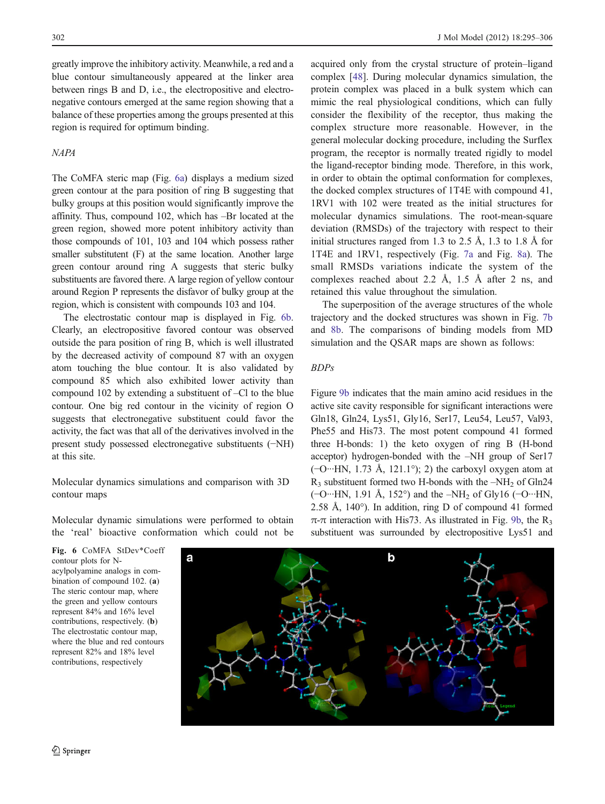<span id="page-7-0"></span>greatly improve the inhibitory activity. Meanwhile, a red and a blue contour simultaneously appeared at the linker area between rings B and D, i.e., the electropositive and electronegative contours emerged at the same region showing that a balance of these properties among the groups presented at this region is required for optimum binding.

## NAPA

The CoMFA steric map (Fig. 6a) displays a medium sized green contour at the para position of ring B suggesting that bulky groups at this position would significantly improve the affinity. Thus, compound 102, which has –Br located at the green region, showed more potent inhibitory activity than those compounds of 101, 103 and 104 which possess rather smaller substitutent (F) at the same location. Another large green contour around ring A suggests that steric bulky substituents are favored there. A large region of yellow contour around Region P represents the disfavor of bulky group at the region, which is consistent with compounds 103 and 104.

The electrostatic contour map is displayed in Fig. 6b. Clearly, an electropositive favored contour was observed outside the para position of ring B, which is well illustrated by the decreased activity of compound 87 with an oxygen atom touching the blue contour. It is also validated by compound 85 which also exhibited lower activity than compound 102 by extending a substituent of –Cl to the blue contour. One big red contour in the vicinity of region O suggests that electronegative substituent could favor the activity, the fact was that all of the derivatives involved in the present study possessed electronegative substituents (−NH) at this site.

Molecular dynamics simulations and comparison with 3D contour maps

Molecular dynamic simulations were performed to obtain the 'real' bioactive conformation which could not be

acquired only from the crystal structure of protein–ligand complex [\[48](#page-11-0)]. During molecular dynamics simulation, the protein complex was placed in a bulk system which can mimic the real physiological conditions, which can fully consider the flexibility of the receptor, thus making the complex structure more reasonable. However, in the general molecular docking procedure, including the Surflex program, the receptor is normally treated rigidly to model the ligand-receptor binding mode. Therefore, in this work, in order to obtain the optimal conformation for complexes, the docked complex structures of 1T4E with compound 41, 1RV1 with 102 were treated as the initial structures for molecular dynamics simulations. The root-mean-square deviation (RMSDs) of the trajectory with respect to their initial structures ranged from 1.3 to 2.5 Å, 1.3 to 1.8 Å for 1T4E and 1RV1, respectively (Fig. [7a](#page-8-0) and Fig. [8a\)](#page-8-0). The small RMSDs variations indicate the system of the complexes reached about 2.2 Å, 1.5 Å after 2 ns, and retained this value throughout the simulation.

The superposition of the average structures of the whole trajectory and the docked structures was shown in Fig. [7b](#page-8-0) and [8b.](#page-8-0) The comparisons of binding models from MD simulation and the QSAR maps are shown as follows:

#### BDPs

Figure [9b](#page-9-0) indicates that the main amino acid residues in the active site cavity responsible for significant interactions were Gln18, Gln24, Lys51, Gly16, Ser17, Leu54, Leu57, Val93, Phe55 and His73. The most potent compound 41 formed three H-bonds: 1) the keto oxygen of ring B (H-bond acceptor) hydrogen-bonded with the –NH group of Ser17 (−O···HN, 1.73 Å, 121.1°); 2) the carboxyl oxygen atom at  $R_3$  substituent formed two H-bonds with the  $-NH_2$  of Gln24 (−O···HN, 1.91 Å, 152°) and the –NH2 of Gly16 (−O···HN, 2.58 Å, 140°). In addition, ring D of compound 41 formed  $\pi$ - $\pi$  interaction with His73. As illustrated in Fig. [9b](#page-9-0), the R<sub>3</sub> substituent was surrounded by electropositive Lys51 and

Fig. 6 CoMFA StDev\*Coeff contour plots for Nacylpolyamine analogs in combination of compound 102. (a) The steric contour map, where the green and yellow contours represent 84% and 16% level contributions, respectively. (b) The electrostatic contour map, where the blue and red contours represent 82% and 18% level contributions, respectively

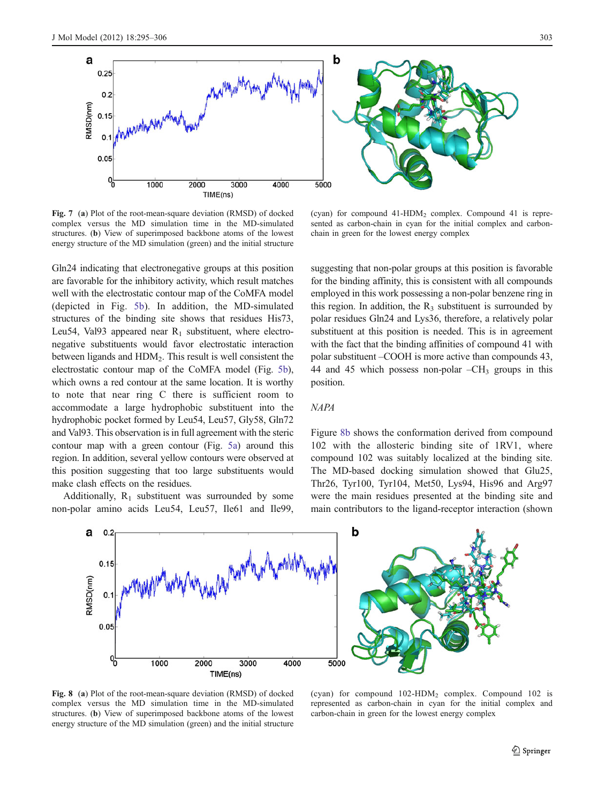<span id="page-8-0"></span>

Fig. 7 (a) Plot of the root-mean-square deviation (RMSD) of docked complex versus the MD simulation time in the MD-simulated structures. (b) View of superimposed backbone atoms of the lowest energy structure of the MD simulation (green) and the initial structure

(cyan) for compound  $41$ -HDM<sub>2</sub> complex. Compound  $41$  is represented as carbon-chain in cyan for the initial complex and carbonchain in green for the lowest energy complex

Gln24 indicating that electronegative groups at this position are favorable for the inhibitory activity, which result matches well with the electrostatic contour map of the CoMFA model (depicted in Fig. [5b](#page-6-0)). In addition, the MD-simulated structures of the binding site shows that residues His73, Leu54, Val93 appeared near  $R_1$  substituent, where electronegative substituents would favor electrostatic interaction between ligands and HDM<sub>2</sub>. This result is well consistent the electrostatic contour map of the CoMFA model (Fig. [5b\)](#page-6-0), which owns a red contour at the same location. It is worthy to note that near ring C there is sufficient room to accommodate a large hydrophobic substituent into the hydrophobic pocket formed by Leu54, Leu57, Gly58, Gln72 and Val93. This observation is in full agreement with the steric contour map with a green contour (Fig. [5a\)](#page-6-0) around this region. In addition, several yellow contours were observed at this position suggesting that too large substituents would make clash effects on the residues.

Additionally,  $R_1$  substituent was surrounded by some non-polar amino acids Leu54, Leu57, Ile61 and Ile99,

suggesting that non-polar groups at this position is favorable for the binding affinity, this is consistent with all compounds employed in this work possessing a non-polar benzene ring in this region. In addition, the  $R_3$  substituent is surrounded by polar residues Gln24 and Lys36, therefore, a relatively polar substituent at this position is needed. This is in agreement with the fact that the binding affinities of compound 41 with polar substituent –COOH is more active than compounds 43, 44 and 45 which possess non-polar  $-CH_3$  groups in this position.

# NAPA

Figure 8b shows the conformation derived from compound 102 with the allosteric binding site of 1RV1, where compound 102 was suitably localized at the binding site. The MD-based docking simulation showed that Glu25, Thr26, Tyr100, Tyr104, Met50, Lys94, His96 and Arg97 were the main residues presented at the binding site and main contributors to the ligand-receptor interaction (shown



Fig. 8 (a) Plot of the root-mean-square deviation (RMSD) of docked complex versus the MD simulation time in the MD-simulated structures. (b) View of superimposed backbone atoms of the lowest energy structure of the MD simulation (green) and the initial structure

(cyan) for compound 102-HDM2 complex. Compound 102 is represented as carbon-chain in cyan for the initial complex and carbon-chain in green for the lowest energy complex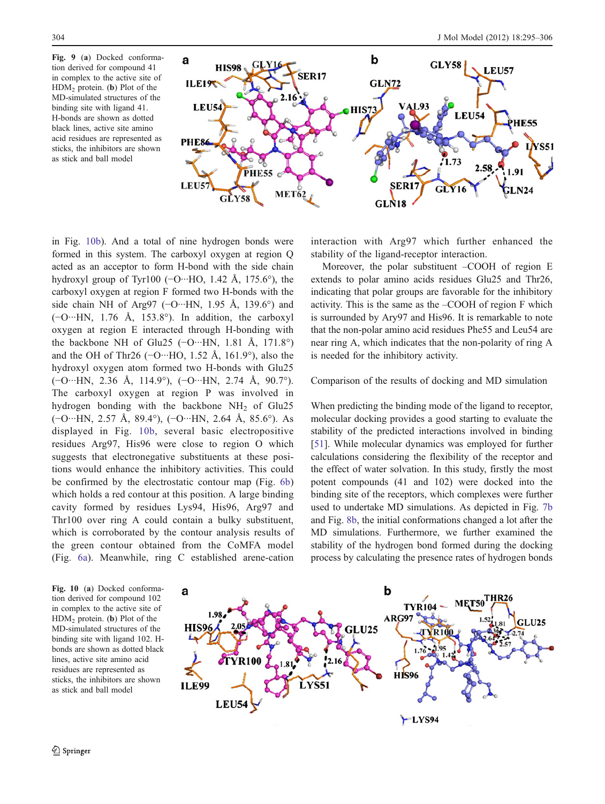<span id="page-9-0"></span>Fig. 9 (a) Docked conformation derived for compound 41 in complex to the active site of HDM2 protein. (b) Plot of the MD-simulated structures of the binding site with ligand 41. H-bonds are shown as dotted black lines, active site amino acid residues are represented as sticks, the inhibitors are shown as stick and ball model



in Fig. 10b). And a total of nine hydrogen bonds were formed in this system. The carboxyl oxygen at region Q acted as an acceptor to form H-bond with the side chain hydroxyl group of Tyr100 ( $-\text{O}\cdots\text{HO}$ , 1.42 Å, 175.6°), the carboxyl oxygen at region F formed two H-bonds with the side chain NH of Arg97 (−O…HN, 1.95 Å, 139.6°) and (−O···HN, 1.76 Å, 153.8°). In addition, the carboxyl oxygen at region E interacted through H-bonding with the backbone NH of Glu25 ( $-\text{O}\cdots$ HN, 1.81 Å, 171.8°) and the OH of Thr26 ( $\neg$ O…HO, 1.52 Å, 161.9°), also the hydroxyl oxygen atom formed two H-bonds with Glu25 (−O···HN, 2.36 Å, 114.9°), (−O···HN, 2.74 Å, 90.7°). The carboxyl oxygen at region P was involved in hydrogen bonding with the backbone  $NH<sub>2</sub>$  of Glu25 (−O···HN, 2.57 Å, 89.4°), (−O···HN, 2.64 Å, 85.6°). As displayed in Fig. 10b, several basic electropositive residues Arg97, His96 were close to region O which suggests that electronegative substituents at these positions would enhance the inhibitory activities. This could be confirmed by the electrostatic contour map (Fig. [6b\)](#page-7-0) which holds a red contour at this position. A large binding cavity formed by residues Lys94, His96, Arg97 and Thr100 over ring A could contain a bulky substituent, which is corroborated by the contour analysis results of the green contour obtained from the CoMFA model (Fig. [6a](#page-7-0)). Meanwhile, ring C established arene-cation

interaction with Arg97 which further enhanced the stability of the ligand-receptor interaction.

Moreover, the polar substituent –COOH of region E extends to polar amino acids residues Glu25 and Thr26, indicating that polar groups are favorable for the inhibitory activity. This is the same as the –COOH of region F which is surrounded by Ary97 and His96. It is remarkable to note that the non-polar amino acid residues Phe55 and Leu54 are near ring A, which indicates that the non-polarity of ring A is needed for the inhibitory activity.

Comparison of the results of docking and MD simulation

When predicting the binding mode of the ligand to receptor, molecular docking provides a good starting to evaluate the stability of the predicted interactions involved in binding [\[51](#page-11-0)]. While molecular dynamics was employed for further calculations considering the flexibility of the receptor and the effect of water solvation. In this study, firstly the most potent compounds (41 and 102) were docked into the binding site of the receptors, which complexes were further used to undertake MD simulations. As depicted in Fig. [7b](#page-8-0) and Fig. [8b](#page-8-0), the initial conformations changed a lot after the MD simulations. Furthermore, we further examined the stability of the hydrogen bond formed during the docking process by calculating the presence rates of hydrogen bonds

Fig. 10 (a) Docked conformation derived for compound 102 in complex to the active site of HDM2 protein. (b) Plot of the MD-simulated structures of the binding site with ligand 102. Hbonds are shown as dotted black lines, active site amino acid residues are represented as sticks, the inhibitors are shown as stick and ball model

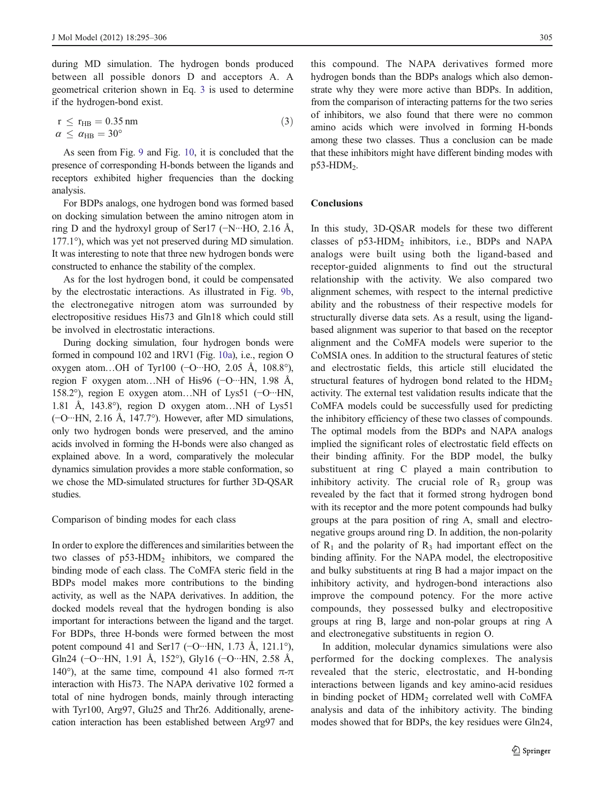during MD simulation. The hydrogen bonds produced between all possible donors D and acceptors A. A geometrical criterion shown in Eq. 3 is used to determine if the hydrogen-bond exist.

$$
r \le r_{HB} = 0.35 \,\mathrm{nm}
$$
\n
$$
\alpha \le \alpha_{HB} = 30^{\circ}
$$
\n(3)

As seen from Fig. [9](#page-9-0) and Fig. [10](#page-9-0), it is concluded that the presence of corresponding H-bonds between the ligands and receptors exhibited higher frequencies than the docking analysis.

For BDPs analogs, one hydrogen bond was formed based on docking simulation between the amino nitrogen atom in ring D and the hydroxyl group of Ser17 (−N···HO, 2.16 Å, 177.1°), which was yet not preserved during MD simulation. It was interesting to note that three new hydrogen bonds were constructed to enhance the stability of the complex.

As for the lost hydrogen bond, it could be compensated by the electrostatic interactions. As illustrated in Fig. [9b,](#page-9-0) the electronegative nitrogen atom was surrounded by electropositive residues His73 and Gln18 which could still be involved in electrostatic interactions.

During docking simulation, four hydrogen bonds were formed in compound 102 and 1RV1 (Fig. [10a\)](#page-9-0), i.e., region O oxygen atom…OH of Tyr100 (−O···HO, 2.05 Å, 108.8°), region F oxygen atom…NH of His96 (−O···HN, 1.98 Å, 158.2°), region E oxygen atom…NH of Lys51 (−O···HN, 1.81 Å, 143.8°), region D oxygen atom…NH of Lys51 (−O···HN, 2.16 Å, 147.7°). However, after MD simulations, only two hydrogen bonds were preserved, and the amino acids involved in forming the H-bonds were also changed as explained above. In a word, comparatively the molecular dynamics simulation provides a more stable conformation, so we chose the MD-simulated structures for further 3D-QSAR studies.

#### Comparison of binding modes for each class

In order to explore the differences and similarities between the two classes of  $p53-\text{HDM}_2$  inhibitors, we compared the binding mode of each class. The CoMFA steric field in the BDPs model makes more contributions to the binding activity, as well as the NAPA derivatives. In addition, the docked models reveal that the hydrogen bonding is also important for interactions between the ligand and the target. For BDPs, three H-bonds were formed between the most potent compound 41 and Ser17 ( $-\text{O}\cdots$ HN, 1.73 Å, 121.1°), Gln24 (−O···HN, 1.91 Å, 152°), Gly16 (−O···HN, 2.58 Å, 140°), at the same time, compound 41 also formed  $\pi$ - $\pi$ interaction with His73. The NAPA derivative 102 formed a total of nine hydrogen bonds, mainly through interacting with Tyr100, Arg97, Glu25 and Thr26. Additionally, arenecation interaction has been established between Arg97 and

this compound. The NAPA derivatives formed more hydrogen bonds than the BDPs analogs which also demonstrate why they were more active than BDPs. In addition, from the comparison of interacting patterns for the two series of inhibitors, we also found that there were no common amino acids which were involved in forming H-bonds among these two classes. Thus a conclusion can be made that these inhibitors might have different binding modes with  $p53-HDM<sub>2</sub>$ .

## **Conclusions**

In this study, 3D-QSAR models for these two different classes of p53-HDM<sub>2</sub> inhibitors, i.e., BDPs and NAPA analogs were built using both the ligand-based and receptor-guided alignments to find out the structural relationship with the activity. We also compared two alignment schemes, with respect to the internal predictive ability and the robustness of their respective models for structurally diverse data sets. As a result, using the ligandbased alignment was superior to that based on the receptor alignment and the CoMFA models were superior to the CoMSIA ones. In addition to the structural features of stetic and electrostatic fields, this article still elucidated the structural features of hydrogen bond related to the HDM<sub>2</sub> activity. The external test validation results indicate that the CoMFA models could be successfully used for predicting the inhibitory efficiency of these two classes of compounds. The optimal models from the BDPs and NAPA analogs implied the significant roles of electrostatic field effects on their binding affinity. For the BDP model, the bulky substituent at ring C played a main contribution to inhibitory activity. The crucial role of  $R_3$  group was revealed by the fact that it formed strong hydrogen bond with its receptor and the more potent compounds had bulky groups at the para position of ring A, small and electronegative groups around ring D. In addition, the non-polarity of  $R_1$  and the polarity of  $R_3$  had important effect on the binding affinity. For the NAPA model, the electropositive and bulky substituents at ring B had a major impact on the inhibitory activity, and hydrogen-bond interactions also improve the compound potency. For the more active compounds, they possessed bulky and electropositive groups at ring B, large and non-polar groups at ring A and electronegative substituents in region O.

In addition, molecular dynamics simulations were also performed for the docking complexes. The analysis revealed that the steric, electrostatic, and H-bonding interactions between ligands and key amino-acid residues in binding pocket of  $HDM<sub>2</sub>$  correlated well with CoMFA analysis and data of the inhibitory activity. The binding modes showed that for BDPs, the key residues were Gln24,